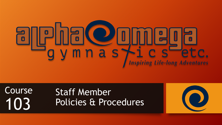### ECO  $\overline{\phantom{a}}$  $\bullet$ y m n a s fil **CS etc.**<br>Inspiring Life-long Adventures

Course 10

### Staff Member Policies & Procedures

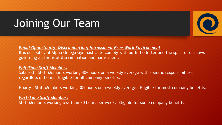

*Equal Opportunity; Discrimination; Harassment Free Work Environment*

It is our policy at Alpha Omega Gymnastics to comply with both the letter and the spirit of our laws governing all forms of discrimination and harassment.

#### *Full-Time Staff Members*

Salaried – Staff Members working 40+ hours on a weekly average with specific responsibilities regardless of hours. Eligible for all company benefits.

Hourly – Staff Members working 30+ hours on a weekly average. Eligible for most company benefits.

#### *Part-Time Staff Members*

Staff Members working less than 30 hours per week. Eligible for some company benefits.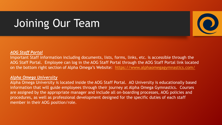#### *AOG Staff Portal*

Important Staff information including documents, lists, forms, links, etc. is accessible through the AOG Staff Portal. Employee can log in the AOG Staff Portal through the AOG Staff Portal link located on the bottom right section of Alpha Omega's Website: <https://www.alphaomegagymnastics.com/>

#### *Alpha Omega University*

Alpha Omega University is located inside the AOG Staff Portal. AO University is educationally based information that will guide employees through their journey at Alpha Omega Gymnastics. Courses are assigned by the appropriate manager and include all on-boarding processes, AOG policies and procedures, as well as professional development designed for the specific duties of each staff member in their AOG position/role.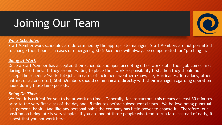

Staff Member work schedules are determined by the appropriate manager. Staff Members are not permitted to change their hours. In cases of emergency, Staff Members will always be compensated for "pitching in."

#### *Being at Work*

Once a Staff Member has accepted their schedule and upon accepting other work slots, their job comes first during those times. If they are not willing to place their work responsibility first, then they should not accept the schedule/work slot/job. In cases of inclement weather (Snow, Ice, Hurricanes, Tornadoes, other natural disasters, etc.), Staff Members should communicate directly with their manager regarding operation hours during those time periods.

#### *Being On Time*

We feel it is critical for you to be at work on time. Generally, for instructors, this means at least 30 minutes prior to the very first class of the day and 15 minutes before subsequent classes. We believe being punctual is a personal habit. And like any personal habit the company has little power to change it. Therefore, our position on being late is very simple. If you are one of those people who tend to run late, instead of early, it is best that you not work here.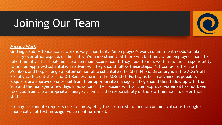

Getting a sub: Attendance at work is very important. An employee's work commitment needs to take priority over other aspects of their life. We understand that there will be times when employees need to take time off. This should not be a common occurrence. If they need to miss work, it is their responsibility to find an approved substitute, in advance. They should follow these steps: 1.) Contact other Staff Members and help arrange a potential, suitable substitute (The Staff Phone Directory is in the AOG Staff Portal); 2.) Fill out the Time Off Request form in the AOG Staff Portal, as far in advance as possible. Requests are approved via e-mail from their appropriate manager. They should then follow up with their Sub and the manager a few days in advance of their absence. If written approval via email has not been received from the appropriate manager, then it is the responsibility of the Staff member to cover their shifts.

For any last-minute requests due to illness, etc., the preferred method of communication is through a phone call, not text message, voice mail, or e-mail.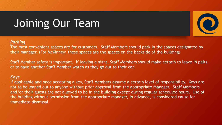

The most convenient spaces are for customers. Staff Members should park in the spaces designated by their manager. (For McKinney; these spaces are the spaces on the backside of the building)

Staff Member safety is important. If leaving a night, Staff Members should make certain to leave in pairs, or to have another Staff Member watch as they go out to their car.

### *Keys*

If applicable and once accepting a key, Staff Members assume a certain level of responsibility. Keys are not to be loaned out to anyone without prior approval from the appropriate manager. Staff Members and/or their guests are not allowed to be in the building except during regular scheduled hours. Use of the building without permission from the appropriate manager, in advance, is considered cause for immediate dismissal.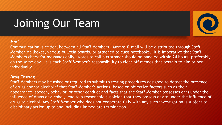

### *Mail*

Communication is critical between all Staff Members. Memos & mail will be distributed through Staff Member Mailboxes, various bulletin boards, or attached to class notebooks. It is imperative that Staff Members check for messages daily. Notes to call a customer should be handled within 24 hours, preferably on the same day. It is each Staff Member's responsibility to clear off memos that pertain to him or her individually.

### *Drug Testing*

Staff Members may be asked or required to submit to testing procedures designed to detect the presence of drugs and/or alcohol if that Staff Member's actions, based on objective factors such as their appearance, speech, behavior. or other conduct and facts that the Staff Member possesses or is under the influence of drugs or alcohol, lead to a reasonable suspicion that they possess or are under the influence of drugs or alcohol. Any Staff Member who does not cooperate fully with any such investigation is subject to disciplinary action up to and including immediate termination.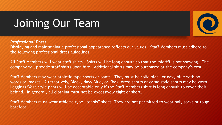

Displaying and maintaining a professional appearance reflects our values. Staff Members must adhere to the following professional dress guidelines.

All Staff Members will wear staff shirts. Shirts will be long enough so that the midriff is not showing. The company will provide staff shirts upon hire. Additional shirts may be purchased at the company's cost.

Staff Members may wear athletic type shorts or pants. They must be solid black or navy blue with no words or images. Alternatively, Black, Navy Blue, or Khaki dress shorts or cargo style shorts may be worn. Leggings/Yoga style pants will be acceptable only if the Staff Members shirt is long enough to cover their behind. In general, all clothing must not be excessively tight or short.

Staff Members must wear athletic type "tennis" shoes. They are not permitted to wear only socks or to go barefoot.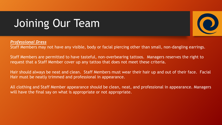

Staff Members may not have any visible, body or facial piercing other than small, non-dangling earrings.

Staff Members are permitted to have tasteful, non-overbearing tattoos. Managers reserves the right to request that a Staff Member cover up any tattoo that does not meet these criteria.

Hair should always be neat and clean. Staff Members must wear their hair up and out of their face. Facial Hair must be neatly trimmed and professional in appearance.

All clothing and Staff Member appearance should be clean, neat, and professional in appearance. Managers will have the final say on what is appropriate or not appropriate.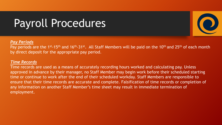# Payroll Procedures



Pay periods are the 1<sup>st</sup>-15<sup>th</sup> and 16<sup>th</sup>-31<sup>st</sup>. All Staff Members will be paid on the 10<sup>th</sup> and 25<sup>th</sup> of each month by direct deposit for the appropriate pay period.

#### *Time Records*

Time records are used as a means of accurately recording hours worked and calculating pay. Unless approved in advance by their manager, no Staff Member may begin work before their scheduled starting time or continue to work after the end of their scheduled workday. Staff Members are responsible to ensure that their time records are accurate and complete. Falsification of time records or completion of any information on another Staff Member's time sheet may result in immediate termination of employment.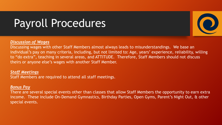# Payroll Procedures

### *Discussion of Wages*

Discussing wages with other Staff Members almost always leads to misunderstandings. We base an individual's pay on many criteria, including, but not limited to: Age, years' experience, reliability, willing to "do extra", teaching in several areas, and ATTITUDE. Therefore, Staff Members should not discuss theirs or anyone else's wages with another Staff Member.

### *Staff Meetings*

Staff Members are required to attend all staff meetings.

#### *Bonus Pay*

There are several special events other than classes that allow Staff Members the opportunity to earn extra income. These include On-Demand Gymnastics, Birthday Parties, Open Gyms, Parent's Night Out, & other special events.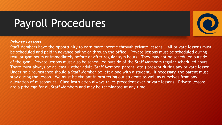## Payroll Procedures

### *Private Lessons*

Staff Members have the opportunity to earn more income through private lessons. All private lessons must be scheduled and paid in advance online or through the office. Private lessons must be scheduled during regular gym hours or immediately before or after regular gym hours. They may not be scheduled outside of the gym. Private lessons must also be scheduled outside of the Staff Members regular scheduled hours. There must always be at least 1 other adult (Staff Member, parent, etc.) present during any private lesson. Under no circumstance should a Staff Member be left alone with a student. If necessary, the parent must stay during the lesson. We must be vigilant in protecting our students as well as ourselves from any allegation of misconduct. Class instruction always takes precedent over private lessons. Private lessons are a privilege for all Staff Members and may be terminated at any time.